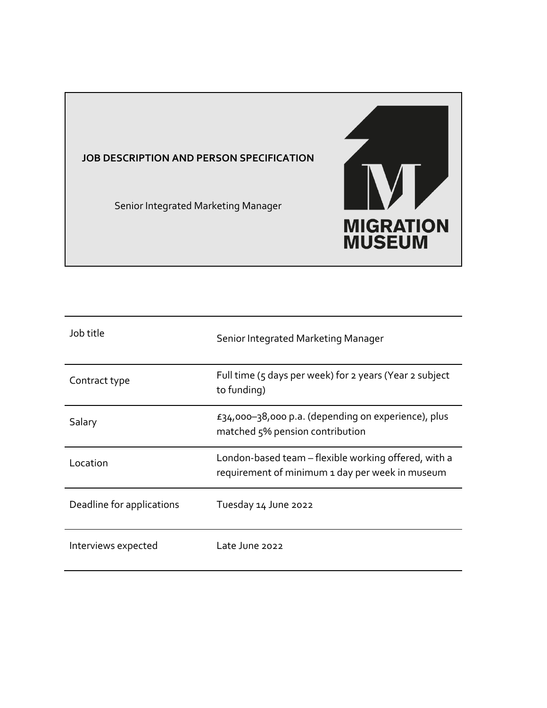

Senior Integrated Marketing Manager



| Job title                 | Senior Integrated Marketing Manager                                                                     |
|---------------------------|---------------------------------------------------------------------------------------------------------|
| Contract type             | Full time (5 days per week) for 2 years (Year 2 subject<br>to funding)                                  |
| Salary                    | £34,000-38,000 p.a. (depending on experience), plus<br>matched 5% pension contribution                  |
| Location                  | London-based team – flexible working offered, with a<br>requirement of minimum 1 day per week in museum |
| Deadline for applications | Tuesday 14 June 2022                                                                                    |
| Interviews expected       | Late June 2022                                                                                          |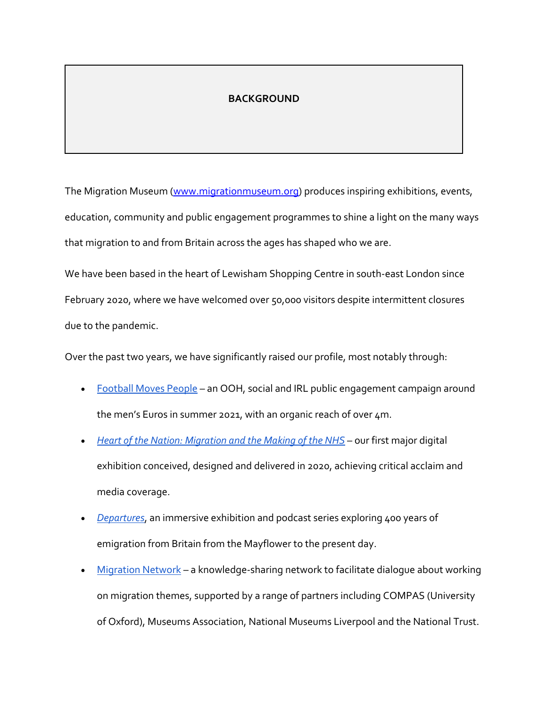## **BACKGROUND**

The Migration Museum (www.migrationmuseum.org) produces inspiring exhibitions, events, education, community and public engagement programmes to shine a light on the many ways that migration to and from Britain across the ages has shaped who we are.

We have been based in the heart of Lewisham Shopping Centre in south-east London since February 2020, where we have welcomed over 50,000 visitors despite intermittent closures due to the pandemic.

Over the past two years, we have significantly raised our profile, most notably through:

- Football Moves People an OOH, social and IRL public engagement campaign around the men's Euros in summer 2021, with an organic reach of over 4m.
- *Heart of the Nation: Migration and the Making of the NHS* our first major digital exhibition conceived, designed and delivered in 2020, achieving critical acclaim and media coverage.
- *Departures*, an immersive exhibition and podcast series exploring 400 years of emigration from Britain from the Mayflower to the present day.
- Migration Network a knowledge-sharing network to facilitate dialogue about working on migration themes, supported by a range of partners including COMPAS (University of Oxford), Museums Association, National Museums Liverpool and the National Trust.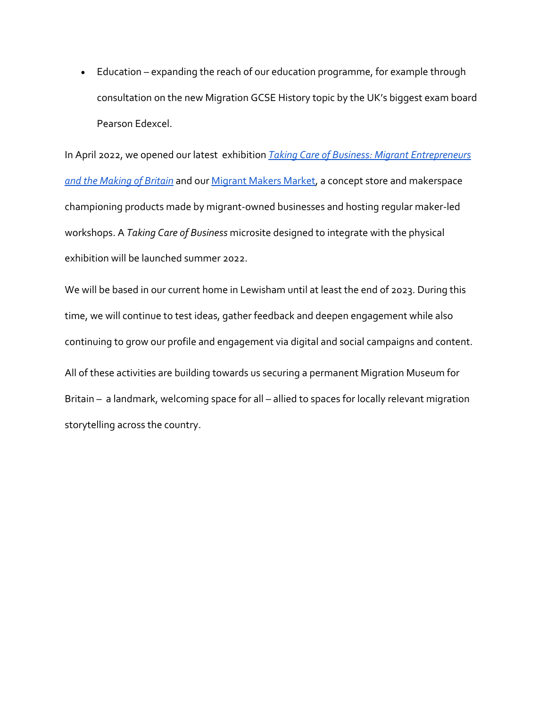• Education – expanding the reach of our education programme, for example through consultation on the new Migration GCSE History topic by the UK's biggest exam board Pearson Edexcel.

In April 2022, we opened our latest exhibition *Taking Care of Business: Migrant Entrepreneurs and the Making of Britain* and our Migrant Makers Market, a concept store and makerspace championing products made by migrant-owned businesses and hosting regular maker-led workshops. A *Taking Care of Business* microsite designed to integrate with the physical exhibition will be launched summer 2022.

We will be based in our current home in Lewisham until at least the end of 2023. During this time, we will continue to test ideas, gather feedback and deepen engagement while also continuing to grow our profile and engagement via digital and social campaigns and content. All of these activities are building towards us securing a permanent Migration Museum for Britain – a landmark, welcoming space for all – allied to spaces for locally relevant migration storytelling across the country.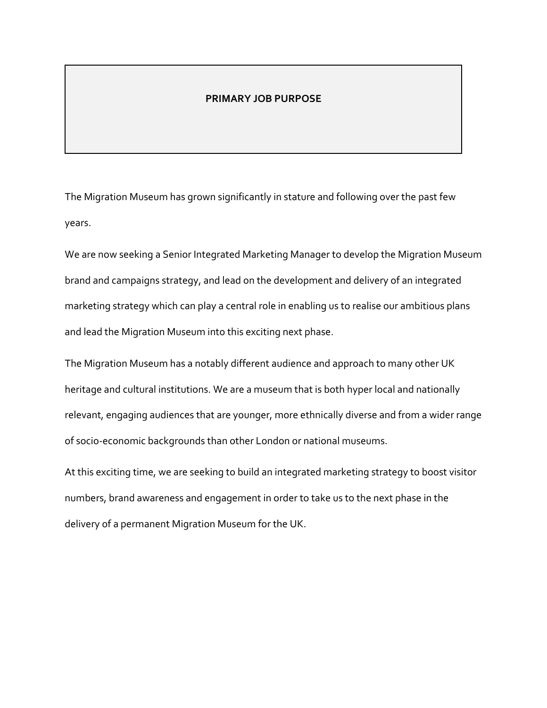#### **PRIMARY JOB PURPOSE**

The Migration Museum has grown significantly in stature and following over the past few years.

We are now seeking a Senior Integrated Marketing Manager to develop the Migration Museum brand and campaigns strategy, and lead on the development and delivery of an integrated marketing strategy which can play a central role in enabling us to realise our ambitious plans and lead the Migration Museum into this exciting next phase.

The Migration Museum has a notably different audience and approach to many other UK heritage and cultural institutions. We are a museum that is both hyper local and nationally relevant, engaging audiences that are younger, more ethnically diverse and from a wider range of socio-economic backgrounds than other London or national museums.

At this exciting time, we are seeking to build an integrated marketing strategy to boost visitor numbers, brand awareness and engagement in order to take us to the next phase in the delivery of a permanent Migration Museum for the UK.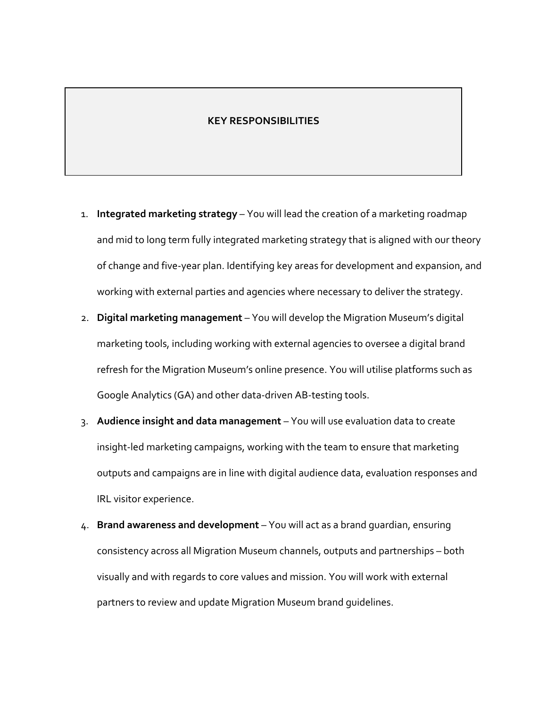#### **KEY RESPONSIBILITIES**

- 1. **Integrated marketing strategy** You will lead the creation of a marketing roadmap and mid to long term fully integrated marketing strategy that is aligned with our theory of change and five-year plan. Identifying key areas for development and expansion, and working with external parties and agencies where necessary to deliver the strategy.
- 2. **Digital marketing management** You will develop the Migration Museum's digital marketing tools, including working with external agencies to oversee a digital brand refresh for the Migration Museum's online presence. You will utilise platforms such as Google Analytics (GA) and other data-driven AB-testing tools.
- 3. **Audience insight and data management** You will use evaluation data to create insight-led marketing campaigns, working with the team to ensure that marketing outputs and campaigns are in line with digital audience data, evaluation responses and IRL visitor experience.
- 4. **Brand awareness and development** You will act as a brand guardian, ensuring consistency across all Migration Museum channels, outputs and partnerships – both visually and with regards to core values and mission. You will work with external partners to review and update Migration Museum brand guidelines.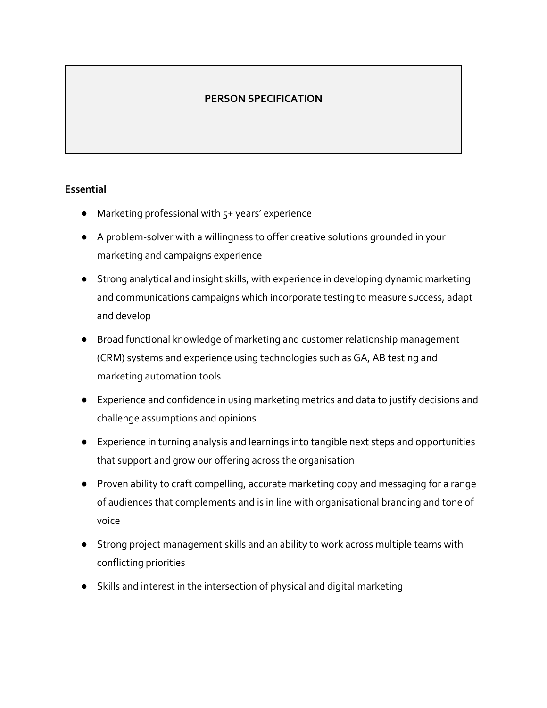# **PERSON SPECIFICATION**

### **Essential**

- Marketing professional with  $5+$  years' experience
- A problem-solver with a willingness to offer creative solutions grounded in your marketing and campaigns experience
- Strong analytical and insight skills, with experience in developing dynamic marketing and communications campaigns which incorporate testing to measure success, adapt and develop
- Broad functional knowledge of marketing and customer relationship management (CRM) systems and experience using technologies such as GA, AB testing and marketing automation tools
- Experience and confidence in using marketing metrics and data to justify decisions and challenge assumptions and opinions
- Experience in turning analysis and learnings into tangible next steps and opportunities that support and grow our offering across the organisation
- Proven ability to craft compelling, accurate marketing copy and messaging for a range of audiences that complements and is in line with organisational branding and tone of voice
- Strong project management skills and an ability to work across multiple teams with conflicting priorities
- Skills and interest in the intersection of physical and digital marketing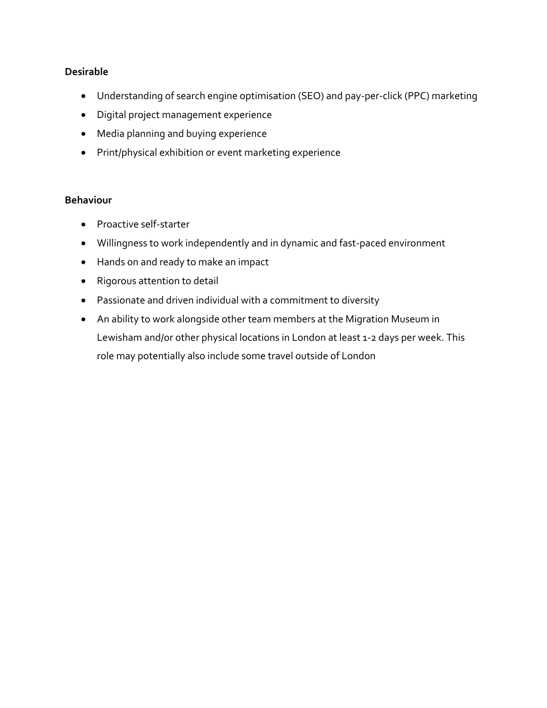## **Desirable**

- Understanding of search engine optimisation (SEO) and pay-per-click (PPC) marketing
- Digital project management experience
- Media planning and buying experience
- Print/physical exhibition or event marketing experience

#### **Behaviour**

- Proactive self-starter
- Willingness to work independently and in dynamic and fast-paced environment
- Hands on and ready to make an impact
- Rigorous attention to detail
- Passionate and driven individual with a commitment to diversity
- An ability to work alongside other team members at the Migration Museum in Lewisham and/or other physical locations in London at least 1-2 days per week. This role may potentially also include some travel outside of London